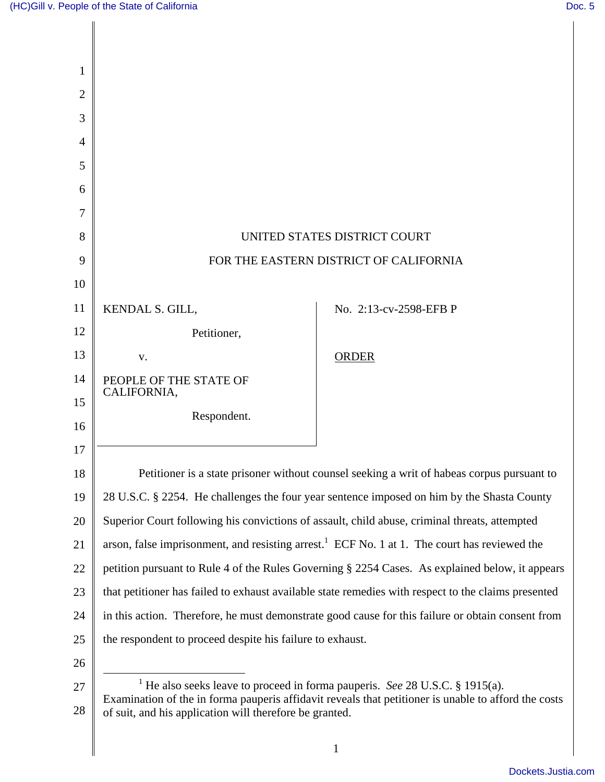| 1              |                                                                                                                                                                                                                                                            |                        |
|----------------|------------------------------------------------------------------------------------------------------------------------------------------------------------------------------------------------------------------------------------------------------------|------------------------|
| $\overline{2}$ |                                                                                                                                                                                                                                                            |                        |
| 3              |                                                                                                                                                                                                                                                            |                        |
| $\overline{A}$ |                                                                                                                                                                                                                                                            |                        |
| 5              |                                                                                                                                                                                                                                                            |                        |
| 6              |                                                                                                                                                                                                                                                            |                        |
| 7              |                                                                                                                                                                                                                                                            |                        |
| 8              | UNITED STATES DISTRICT COURT                                                                                                                                                                                                                               |                        |
| 9              | FOR THE EASTERN DISTRICT OF CALIFORNIA                                                                                                                                                                                                                     |                        |
| 10             |                                                                                                                                                                                                                                                            |                        |
| 11             | KENDAL S. GILL,                                                                                                                                                                                                                                            | No. 2:13-cv-2598-EFB P |
| 12             | Petitioner,                                                                                                                                                                                                                                                |                        |
| 13             | V.                                                                                                                                                                                                                                                         | <b>ORDER</b>           |
| 14             | PEOPLE OF THE STATE OF<br>CALIFORNIA,                                                                                                                                                                                                                      |                        |
| 15             | Respondent.                                                                                                                                                                                                                                                |                        |
| 16             |                                                                                                                                                                                                                                                            |                        |
| 17             |                                                                                                                                                                                                                                                            |                        |
| 18             | Petitioner is a state prisoner without counsel seeking a writ of habeas corpus pursuant to                                                                                                                                                                 |                        |
| 19             | 28 U.S.C. § 2254. He challenges the four year sentence imposed on him by the Shasta County                                                                                                                                                                 |                        |
| 20             | Superior Court following his convictions of assault, child abuse, criminal threats, attempted                                                                                                                                                              |                        |
| 21             | arson, false imprisonment, and resisting arrest. <sup>1</sup> ECF No. 1 at 1. The court has reviewed the                                                                                                                                                   |                        |
| 22             | petition pursuant to Rule 4 of the Rules Governing § 2254 Cases. As explained below, it appears                                                                                                                                                            |                        |
| 23             | that petitioner has failed to exhaust available state remedies with respect to the claims presented                                                                                                                                                        |                        |
| 24             | in this action. Therefore, he must demonstrate good cause for this failure or obtain consent from                                                                                                                                                          |                        |
| 25             | the respondent to proceed despite his failure to exhaust.                                                                                                                                                                                                  |                        |
| 26             |                                                                                                                                                                                                                                                            |                        |
| 27<br>28       | <sup>1</sup> He also seeks leave to proceed in forma pauperis. See 28 U.S.C. § 1915(a).<br>Examination of the in forma pauperis affidavit reveals that petitioner is unable to afford the costs<br>of suit, and his application will therefore be granted. |                        |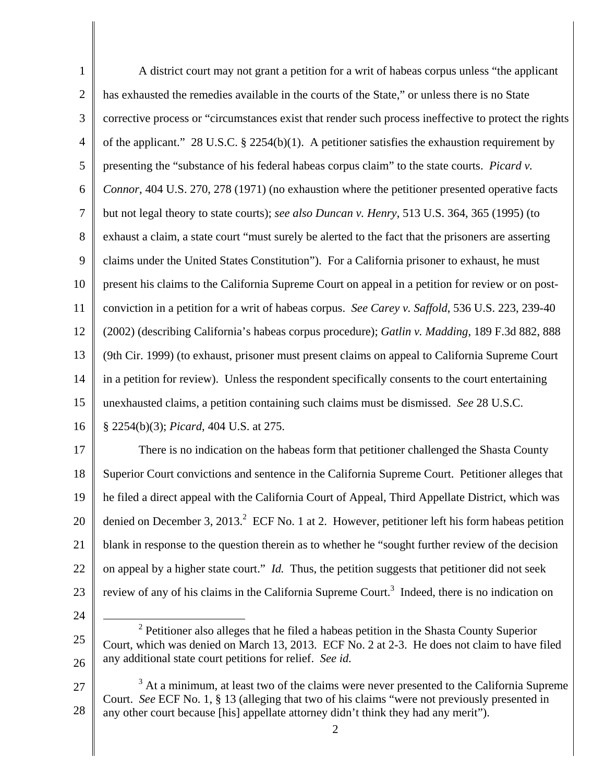1 2 3 4 5 6 7 8 9 10 11 12 13 14 15 16 17 18 19 20 A district court may not grant a petition for a writ of habeas corpus unless "the applicant has exhausted the remedies available in the courts of the State," or unless there is no State corrective process or "circumstances exist that render such process ineffective to protect the rights of the applicant." 28 U.S.C. § 2254(b)(1). A petitioner satisfies the exhaustion requirement by presenting the "substance of his federal habeas corpus claim" to the state courts. *Picard v. Connor*, 404 U.S. 270, 278 (1971) (no exhaustion where the petitioner presented operative facts but not legal theory to state courts); *see also Duncan v. Henry*, 513 U.S. 364, 365 (1995) (to exhaust a claim, a state court "must surely be alerted to the fact that the prisoners are asserting claims under the United States Constitution"). For a California prisoner to exhaust, he must present his claims to the California Supreme Court on appeal in a petition for review or on postconviction in a petition for a writ of habeas corpus. *See Carey v. Saffold*, 536 U.S. 223, 239-40 (2002) (describing California's habeas corpus procedure); *Gatlin v. Madding*, 189 F.3d 882, 888 (9th Cir. 1999) (to exhaust, prisoner must present claims on appeal to California Supreme Court in a petition for review). Unless the respondent specifically consents to the court entertaining unexhausted claims, a petition containing such claims must be dismissed. *See* 28 U.S.C. § 2254(b)(3); *Picard*, 404 U.S. at 275. There is no indication on the habeas form that petitioner challenged the Shasta County Superior Court convictions and sentence in the California Supreme Court. Petitioner alleges that he filed a direct appeal with the California Court of Appeal, Third Appellate District, which was denied on December 3, 2013.<sup>2</sup> ECF No. 1 at 2. However, petitioner left his form habeas petition

21 blank in response to the question therein as to whether he "sought further review of the decision

22 on appeal by a higher state court." *Id.* Thus, the petition suggests that petitioner did not seek

- 23 review of any of his claims in the California Supreme Court.<sup>3</sup> Indeed, there is no indication on
- 24

<sup>25</sup>  26  $\overline{a}$  $2$  Petitioner also alleges that he filed a habeas petition in the Shasta County Superior Court, which was denied on March 13, 2013. ECF No. 2 at 2-3. He does not claim to have filed any additional state court petitions for relief. *See id.* 

<sup>27</sup>  28  $3$  At a minimum, at least two of the claims were never presented to the California Supreme Court. *See* ECF No. 1, § 13 (alleging that two of his claims "were not previously presented in any other court because [his] appellate attorney didn't think they had any merit").